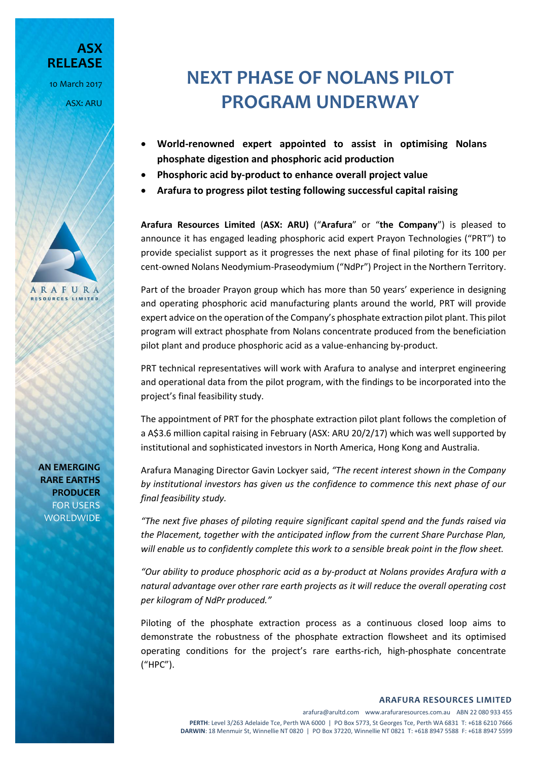**ASX RELEASE** 10 March 2017 ASX: ARU



**AN EMERGING RARE EARTHS PRODUCER** FOR USERS WORLDWIDE

## **NEXT PHASE OF NOLANS PILOT PROGRAM UNDERWAY**

- **World-renowned expert appointed to assist in optimising Nolans phosphate digestion and phosphoric acid production**
- **Phosphoric acid by-product to enhance overall project value**
- **Arafura to progress pilot testing following successful capital raising**

**Arafura Resources Limited** (**ASX: ARU)** ("**Arafura**" or "**the Company**") is pleased to announce it has engaged leading phosphoric acid expert Prayon Technologies ("PRT") to provide specialist support as it progresses the next phase of final piloting for its 100 per cent-owned Nolans Neodymium-Praseodymium ("NdPr") Project in the Northern Territory.

Part of the broader Prayon group which has more than 50 years' experience in designing and operating phosphoric acid manufacturing plants around the world, PRT will provide expert advice on the operation of the Company's phosphate extraction pilot plant. This pilot program will extract phosphate from Nolans concentrate produced from the beneficiation pilot plant and produce phosphoric acid as a value-enhancing by-product.

PRT technical representatives will work with Arafura to analyse and interpret engineering and operational data from the pilot program, with the findings to be incorporated into the project's final feasibility study.

The appointment of PRT for the phosphate extraction pilot plant follows the completion of a A\$3.6 million capital raising in February (ASX: ARU 20/2/17) which was well supported by institutional and sophisticated investors in North America, Hong Kong and Australia.

Arafura Managing Director Gavin Lockyer said, *"The recent interest shown in the Company by institutional investors has given us the confidence to commence this next phase of our final feasibility study.*

*"The next five phases of piloting require significant capital spend and the funds raised via the Placement, together with the anticipated inflow from the current Share Purchase Plan, will enable us to confidently complete this work to a sensible break point in the flow sheet.*

*"Our ability to produce phosphoric acid as a by-product at Nolans provides Arafura with a natural advantage over other rare earth projects as it will reduce the overall operating cost per kilogram of NdPr produced."*

Piloting of the phosphate extraction process as a continuous closed loop aims to demonstrate the robustness of the phosphate extraction flowsheet and its optimised operating conditions for the project's rare earths-rich, high-phosphate concentrate ("HPC").

**ARAFURA RESOURCES LIMITED**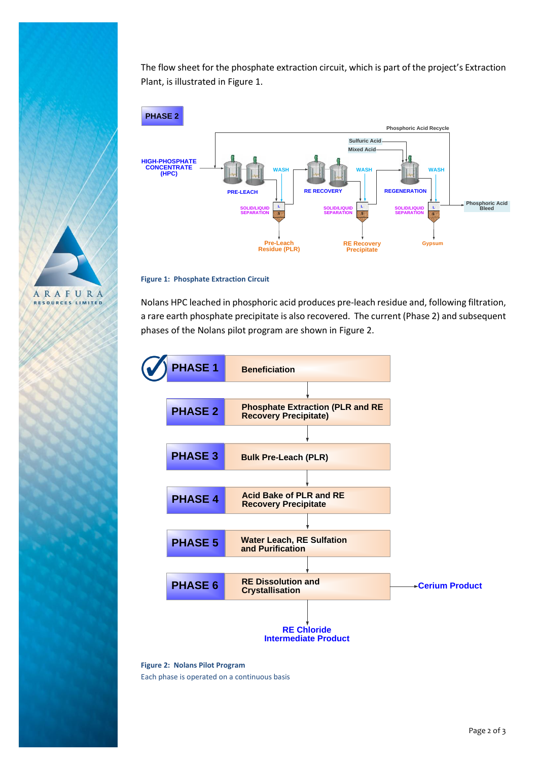

The flow sheet for the phosphate extraction circuit, which is part of the project's Extraction Plant, is illustrated in Figure 1.



**Figure 1: Phosphate Extraction Circuit**

Nolans HPC leached in phosphoric acid produces pre-leach residue and, following filtration, a rare earth phosphate precipitate is also recovered. The current (Phase 2) and subsequent phases of the Nolans pilot program are shown in Figure 2.



**Figure 2: Nolans Pilot Program** Each phase is operated on a continuous basis